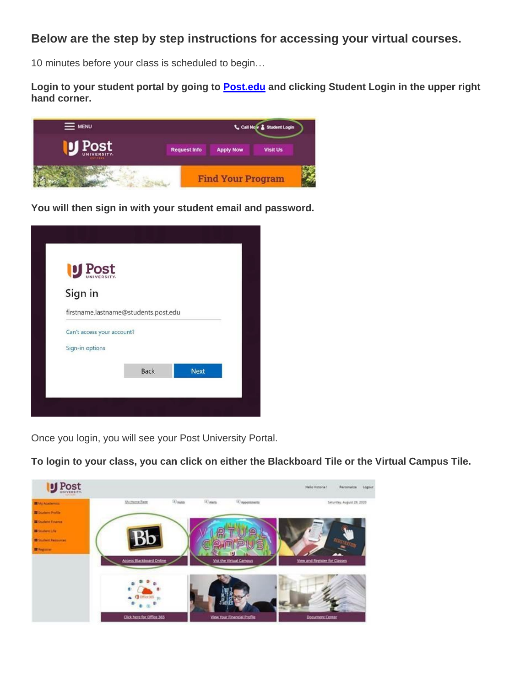## **Below are the step by step instructions for accessing your virtual courses.**

10 minutes before your class is scheduled to begin…

**Login to your student portal by going to [Post.edu](https://nam10.safelinks.protection.outlook.com/?url=http%3A%2F%2Fwww.post.edu%2F&data=04%7C01%7CJOlsen%40Post.edu%7C008ca02a57804d86696208d9f191cdc4%7C60e34a340d2d47d6b05c6f468fa4cfc6%7C0%7C0%7C637806430811203859%7CUnknown%7CTWFpbGZsb3d8eyJWIjoiMC4wLjAwMDAiLCJQIjoiV2luMzIiLCJBTiI6Ik1haWwiLCJXVCI6Mn0%3D%7C3000&sdata=R20FjtL%2BbSzs7hskxXEhUOtMuaqgNpHIc%2FllhVZNgxw%3D&reserved=0) and clicking Student Login in the upper right hand corner.**



**You will then sign in with your student email and password.**

| U Post                               |  |
|--------------------------------------|--|
| Sign in                              |  |
| firstname.lastname@students.post.edu |  |
| Can't access your account?           |  |
| Sign-in options                      |  |
|                                      |  |

Once you login, you will see your Post University Portal.

**To login to your class, you can click on either the Blackboard Tile or the Virtual Campus Tile.**

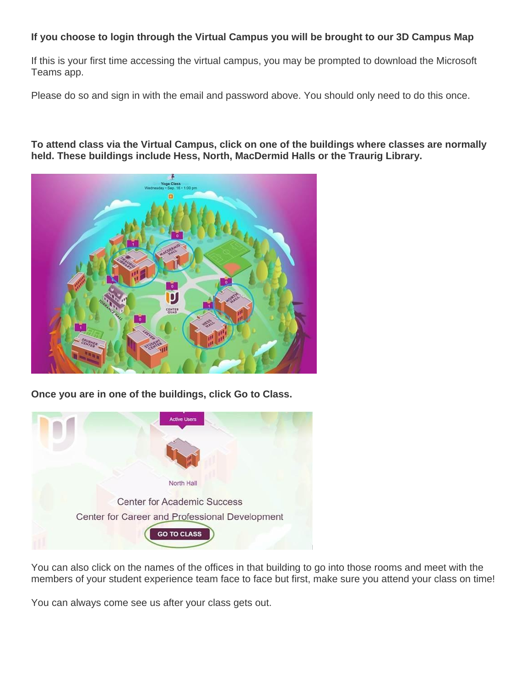## **If you choose to login through the Virtual Campus you will be brought to our 3D Campus Map**

If this is your first time accessing the virtual campus, you may be prompted to download the Microsoft Teams app.

Please do so and sign in with the email and password above. You should only need to do this once.

**To attend class via the Virtual Campus, click on one of the buildings where classes are normally held. These buildings include Hess, North, MacDermid Halls or the Traurig Library.**



**Once you are in one of the buildings, click Go to Class.**



You can also click on the names of the offices in that building to go into those rooms and meet with the members of your student experience team face to face but first, make sure you attend your class on time!

You can always come see us after your class gets out.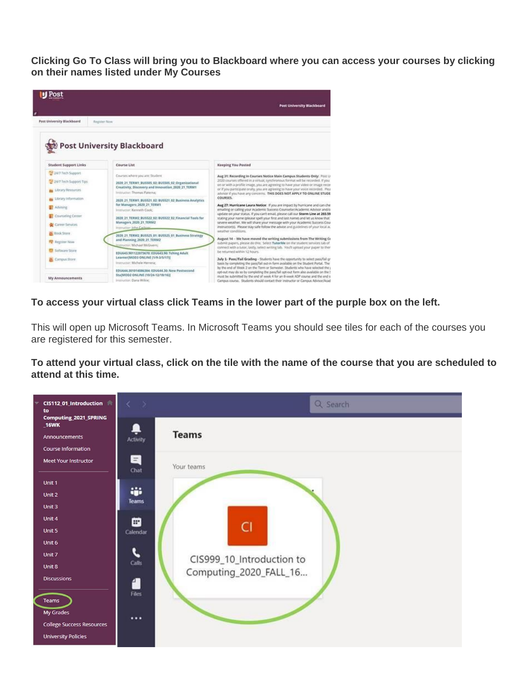**Clicking Go To Class will bring you to Blackboard where you can access your courses by clicking on their names listed under My Courses**



**To access your virtual class click Teams in the lower part of the purple box on the left.**

This will open up Microsoft Teams. In Microsoft Teams you should see tiles for each of the courses you are registered for this semester.

To attend your virtual class, click on the tile with the name of the course that you are scheduled to **attend at this time.**